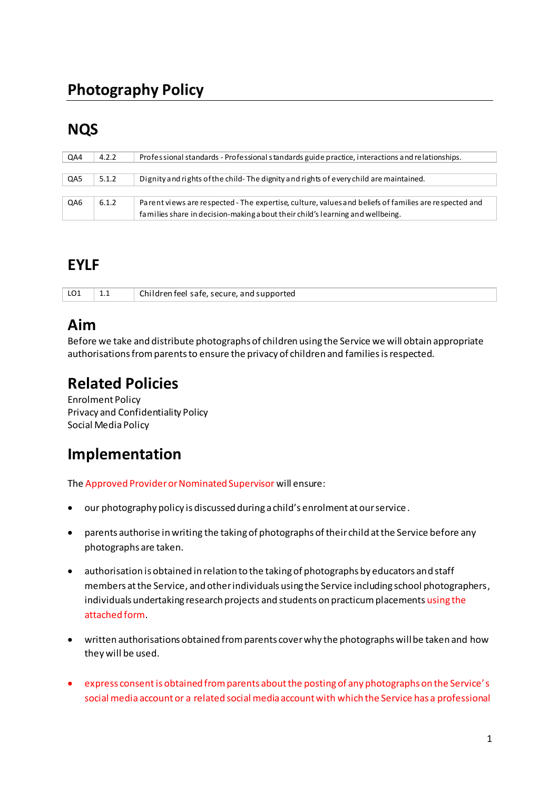# **Photography Policy**

## **NQS**

| QA4 | 4.2.2 | Professional standards - Professional standards guide practice, interactions and relationships.       |
|-----|-------|-------------------------------------------------------------------------------------------------------|
|     |       |                                                                                                       |
| QA5 | 5.1.2 | Dignity and rights of the child-The dignity and rights of every child are maintained.                 |
|     |       |                                                                                                       |
| QA6 | 6.1.2 | Parent views are respected - The expertise, culture, values and beliefs of families are respected and |
|     |       | families share in decision-making a bout their child's learning and wellbeing.                        |

#### **EYLF**

| LO1 | Children feel safe, secure, and supported |
|-----|-------------------------------------------|

## Aim

Before we take and distribute photographs of children using the Service we will obtain appropriate authorisations from parents to ensure the privacy of children and families is respected.

## **Related Policies**

**Enrolment Policy** Privacy and Confidentiality Policy Social Media Policy

## Implementation

The Approved Provider or Nominated Supervisor will ensure:

- our photography policy is discussed during a child's enrolment at our service.
- parents authorise in writing the taking of photographs of their child at the Service before any  $\bullet$ photographs are taken.
- authorisation is obtained in relation to the taking of photographs by educators and staff members at the Service, and other individuals using the Service including school photographers, individuals undertaking research projects and students on practicum placements using the attached form.
- written authorisations obtained from parents cover why the photographs will be taken and how they will be used.
- express consent is obtained from parents about the posting of any photographs on the Service's social media account or a related social media account with which the Service has a professional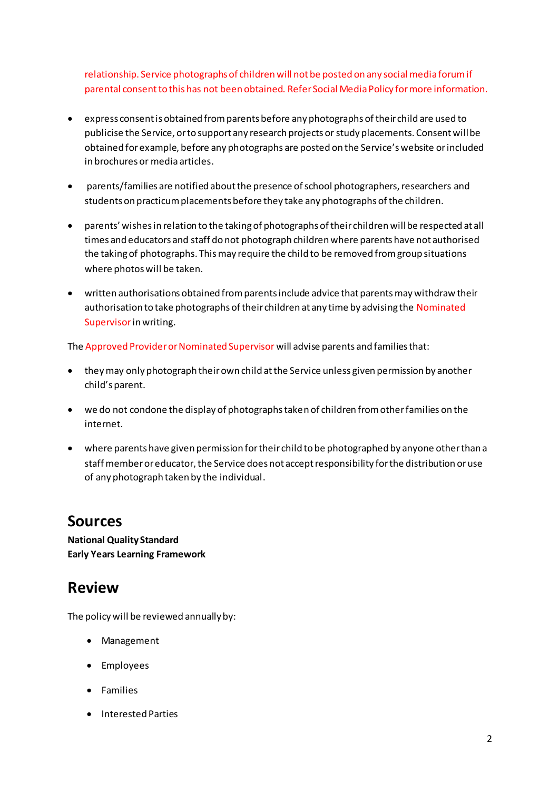relationship. Service photographs of children will not be posted on any social media forum if parental consent to this has not been obtained. Refer Social Media Policy for more information.

- express consent is obtained from parents before any photographs of their child are used to publicise the Service, or to support any research projects or study placements. Consent will be obtained for example, before any photographs are posted on the Service's website or included in brochures or media articles.
- parents/families are notified about the presence of school photographers, researchers and students on practicum placements before they take any photographs of the children.
- parents' wishes in relation to the taking of photographs of their children will be respected at all times and educators and staff do not photograph children where parents have not authorised the taking of photographs. This may require the child to be removed from group situations where photos will be taken.
- written authorisations obtained from parents include advice that parents may withdraw their authorisation to take photographs of their children at any time by advising the Nominated Supervisor in writing.

The Approved Provider or Nominated Supervisor will advise parents and families that:

- they may only photograph their own child at the Service unless given permission by another child's parent.
- we do not condone the display of photographs taken of children from other families on the internet.
- where parents have given permission for their child to be photographed by anyone other than a staff member or educator, the Service does not accept responsibility for the distribution or use of any photograph taken by the individual.

## **Sources**

**National Quality Standard Early Years Learning Framework** 

## **Review**

The policy will be reviewed annually by:

- Management
- Employees
- Families
- Interested Parties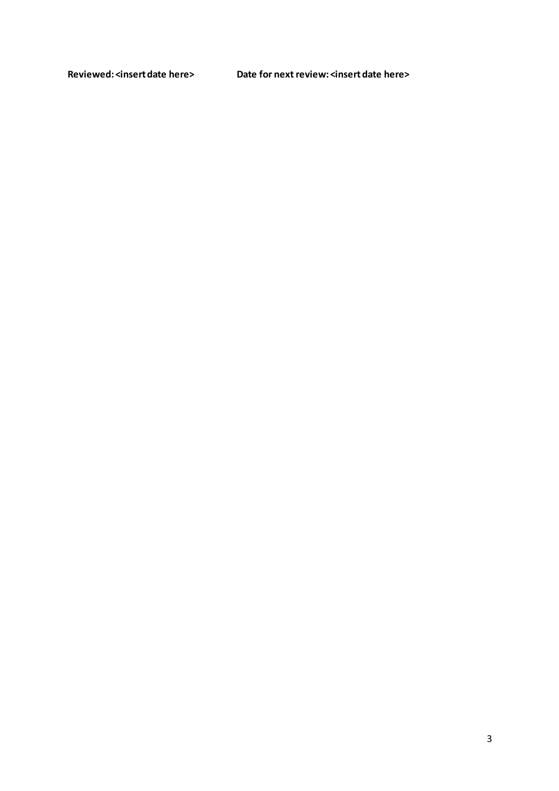**Reviewed: <insert date here> Date for next review: <insert date here>**